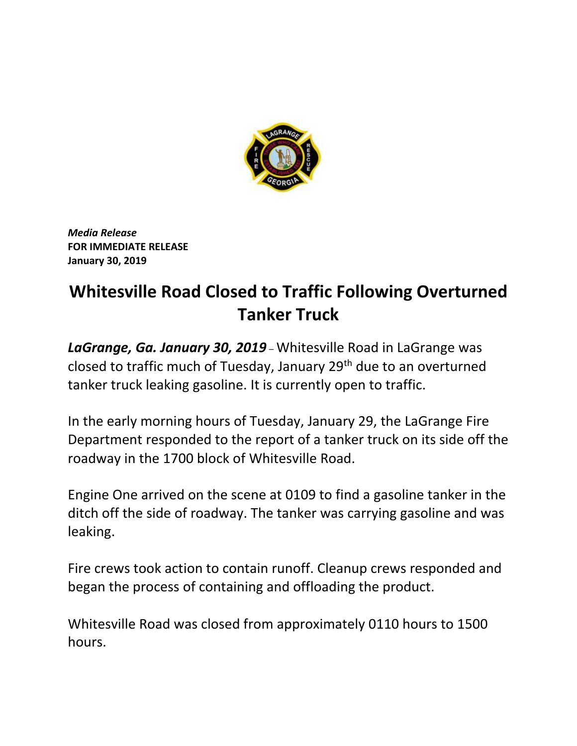

*Media Release* **FOR IMMEDIATE RELEASE January 30, 2019**

## **Whitesville Road Closed to Traffic Following Overturned Tanker Truck**

*LaGrange, Ga. January 30, 2019* – Whitesville Road in LaGrange was closed to traffic much of Tuesday, January 29th due to an overturned tanker truck leaking gasoline. It is currently open to traffic.

In the early morning hours of Tuesday, January 29, the LaGrange Fire Department responded to the report of a tanker truck on its side off the roadway in the 1700 block of Whitesville Road.

Engine One arrived on the scene at 0109 to find a gasoline tanker in the ditch off the side of roadway. The tanker was carrying gasoline and was leaking.

Fire crews took action to contain runoff. Cleanup crews responded and began the process of containing and offloading the product.

Whitesville Road was closed from approximately 0110 hours to 1500 hours.